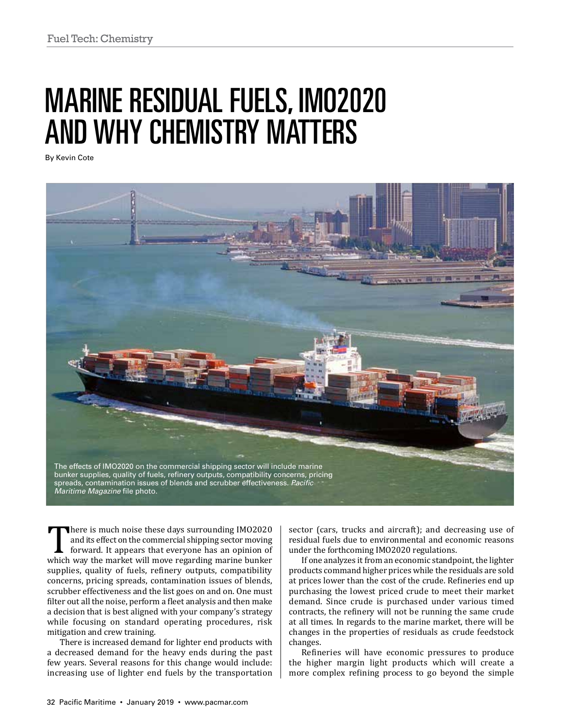## MARINE RESIDUAL FUELS, IMO2020 AND WHY CHEMISTRY MATTERS

By Kevin Cote



There is much noise these days surrounding IMO2020<br>
and its effect on the commercial shipping sector moving<br>
forward. It appears that everyone has an opinion of<br>
which way the market will move regarding marine bunker<br>
sump and its effect on the commercial shipping sector moving forward. It appears that everyone has an opinion of supplies, quality of fuels, refinery outputs, compatibility concerns, pricing spreads, contamination issues of blends, scrubber effectiveness and the list goes on and on. One must filter out all the noise, perform a fleet analysis and then make a decision that is best aligned with your company's strategy while focusing on standard operating procedures, risk mitigation and crew training.

There is increased demand for lighter end products with a decreased demand for the heavy ends during the past few years. Several reasons for this change would include: increasing use of lighter end fuels by the transportation sector (cars, trucks and aircraft); and decreasing use of residual fuels due to environmental and economic reasons under the forthcoming IMO2020 regulations.

If one analyzes it from an economic standpoint, the lighter products command higher prices while the residuals are sold at prices lower than the cost of the crude. Refineries end up purchasing the lowest priced crude to meet their market demand. Since crude is purchased under various timed contracts, the refinery will not be running the same crude at all times. In regards to the marine market, there will be changes in the properties of residuals as crude feedstock changes.

Refineries will have economic pressures to produce the higher margin light products which will create a more complex refining process to go beyond the simple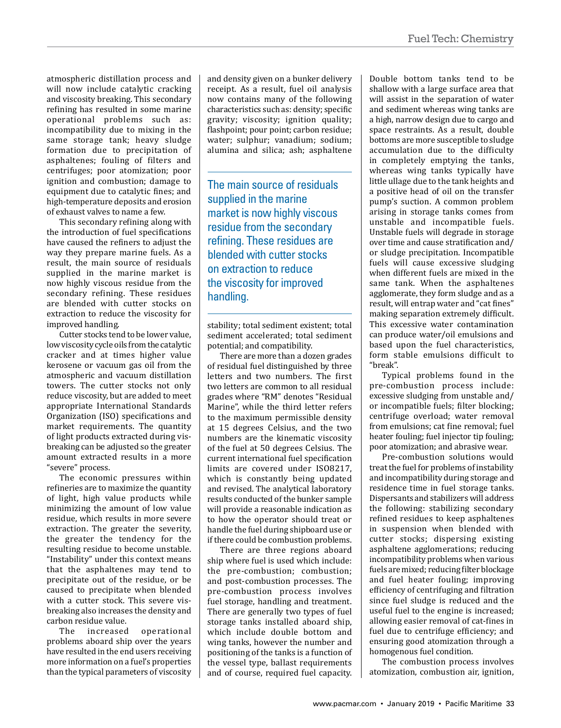atmospheric distillation process and will now include catalytic cracking and viscosity breaking. This secondary refining has resulted in some marine operational problems such as: incompatibility due to mixing in the same storage tank; heavy sludge formation due to precipitation of asphaltenes; fouling of filters and centrifuges; poor atomization; poor ignition and combustion; damage to equipment due to catalytic fines; and high-temperature deposits and erosion of exhaust valves to name a few.

This secondary refining along with the introduction of fuel specifications have caused the refiners to adjust the way they prepare marine fuels. As a result, the main source of residuals supplied in the marine market is now highly viscous residue from the secondary refining. These residues are blended with cutter stocks on extraction to reduce the viscosity for improved handling.

Cutter stocks tend to be lower value, low viscosity cycle oils from the catalytic cracker and at times higher value kerosene or vacuum gas oil from the atmospheric and vacuum distillation towers. The cutter stocks not only reduce viscosity, but are added to meet appropriate International Standards Organization (ISO) specifications and market requirements. The quantity of light products extracted during visbreaking can be adjusted so the greater amount extracted results in a more "severe" process.

The economic pressures within refineries are to maximize the quantity of light, high value products while minimizing the amount of low value residue, which results in more severe extraction. The greater the severity, the greater the tendency for the resulting residue to become unstable. "Instability" under this context means that the asphaltenes may tend to precipitate out of the residue, or be caused to precipitate when blended with a cutter stock. This severe visbreaking also increases the density and carbon residue value.

The increased operational problems aboard ship over the years have resulted in the end users receiving more information on a fuel's properties than the typical parameters of viscosity and density given on a bunker delivery receipt. As a result, fuel oil analysis now contains many of the following characteristics such as: density; specific gravity; viscosity; ignition quality; flashpoint; pour point; carbon residue; water; sulphur; vanadium; sodium; alumina and silica; ash; asphaltene

The main source of residuals supplied in the marine market is now highly viscous residue from the secondary refining. These residues are blended with cutter stocks on extraction to reduce the viscosity for improved handling.

stability; total sediment existent; total sediment accelerated; total sediment potential; and compatibility.

There are more than a dozen grades of residual fuel distinguished by three letters and two numbers. The first two letters are common to all residual grades where "RM" denotes "Residual Marine", while the third letter refers to the maximum permissible density at 15 degrees Celsius, and the two numbers are the kinematic viscosity of the fuel at 50 degrees Celsius. The current international fuel specification limits are covered under ISO8217, which is constantly being updated and revised. The analytical laboratory results conducted of the bunker sample will provide a reasonable indication as to how the operator should treat or handle the fuel during shipboard use or if there could be combustion problems.

There are three regions aboard ship where fuel is used which include: the pre-combustion; combustion; and post-combustion processes. The pre-combustion process involves fuel storage, handling and treatment. There are generally two types of fuel storage tanks installed aboard ship, which include double bottom and wing tanks, however the number and positioning of the tanks is a function of the vessel type, ballast requirements and of course, required fuel capacity.

Double bottom tanks tend to be shallow with a large surface area that will assist in the separation of water and sediment whereas wing tanks are a high, narrow design due to cargo and space restraints. As a result, double bottoms are more susceptible to sludge accumulation due to the difficulty in completely emptying the tanks, whereas wing tanks typically have little ullage due to the tank heights and a positive head of oil on the transfer pump's suction. A common problem arising in storage tanks comes from unstable and incompatible fuels. Unstable fuels will degrade in storage over time and cause stratification and/ or sludge precipitation. Incompatible fuels will cause excessive sludging when different fuels are mixed in the same tank. When the asphaltenes agglomerate, they form sludge and as a result, will entrap water and "cat fines" making separation extremely difficult. This excessive water contamination can produce water/oil emulsions and based upon the fuel characteristics, form stable emulsions difficult to "break".

Typical problems found in the pre-combustion process include: excessive sludging from unstable and/ or incompatible fuels; filter blocking; centrifuge overload; water removal from emulsions; cat fine removal; fuel heater fouling; fuel injector tip fouling; poor atomization; and abrasive wear.

Pre-combustion solutions would treat the fuel for problems of instability and incompatibility during storage and residence time in fuel storage tanks. Dispersants and stabilizers will address the following: stabilizing secondary refined residues to keep asphaltenes in suspension when blended with cutter stocks; dispersing existing asphaltene agglomerations; reducing incompatibility problems when various fuels are mixed; reducing filter blockage and fuel heater fouling; improving efficiency of centrifuging and filtration since fuel sludge is reduced and the useful fuel to the engine is increased; allowing easier removal of cat-fines in fuel due to centrifuge efficiency; and ensuring good atomization through a homogenous fuel condition.

The combustion process involves atomization, combustion air, ignition,